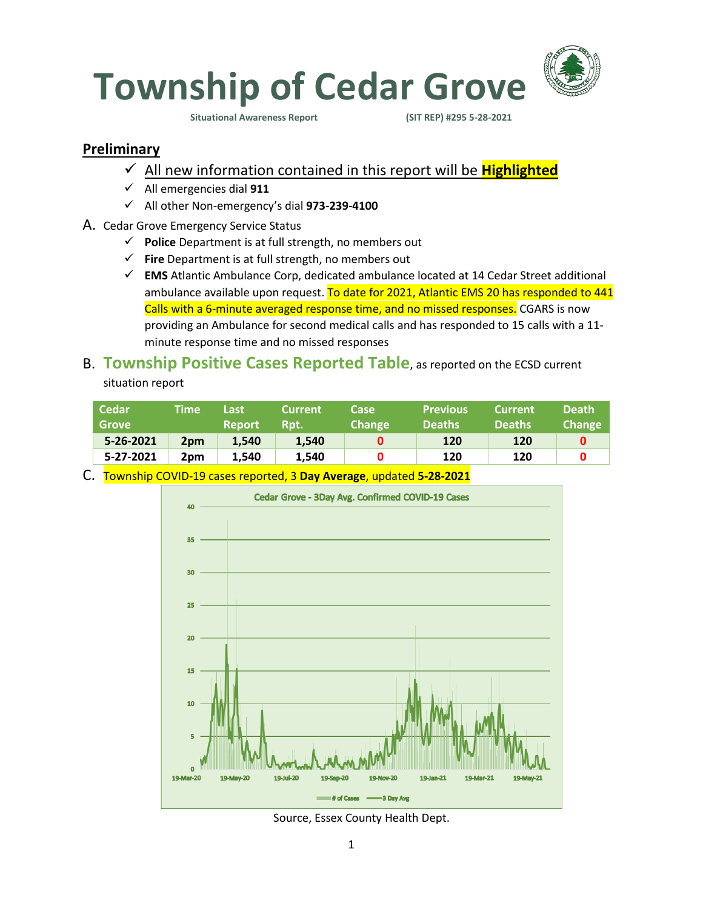

**Situational Awareness Report** 

### **Preliminary**

- ✓ All new information contained in this report will be **Highlighted**
- ✓ All emergencies dial **911**
- ✓ All other Non-emergency's dial **973-239-4100**
- A. Cedar Grove Emergency Service Status
	- ✓ **Police** Department is at full strength, no members out
	- ✓ **Fire** Department is at full strength, no members out
	- ✓ **EMS** Atlantic Ambulance Corp, dedicated ambulance located at 14 Cedar Street additional ambulance available upon request. To date for 2021, Atlantic EMS 20 has responded to 441 Calls with a 6-minute averaged response time, and no missed responses. CGARS is now providing an Ambulance for second medical calls and has responded to 15 calls with a 11 minute response time and no missed responses

## B. **Township Positive Cases Reported Table**, as reported on the ECSD current situation report

| <b>Cedar</b><br><b>Grove</b> | Time            | Last<br><b>Report</b> | <b>Current</b><br>Rpt. | Case<br>Change | <b>Previous</b><br><b>Deaths</b> | <b>Current</b><br><b>Deaths</b> | <b>Death</b><br><b>Change</b> |
|------------------------------|-----------------|-----------------------|------------------------|----------------|----------------------------------|---------------------------------|-------------------------------|
| 5-26-2021                    | 2 <sub>pm</sub> | 1.540                 | 1.540                  |                | 120                              | 120                             |                               |
| 5-27-2021                    | 2 <sub>pm</sub> | 1.540                 | 1.540                  |                | 120                              | 120                             |                               |

C. Township COVID-19 cases reported, 3 **Day Average**, updated **5-28-2021**



Source, Essex County Health Dept.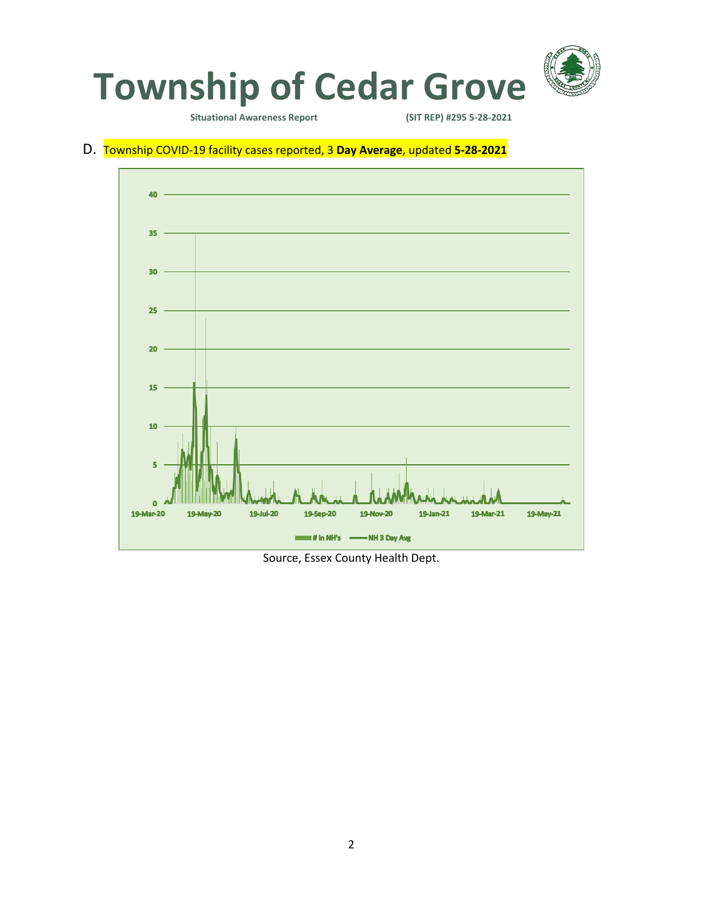

**Situational Awareness Report** 

#### D. Township COVID-19 facility cases reported, 3 **Day Average**, updated **5-28-2021**



Source, Essex County Health Dept.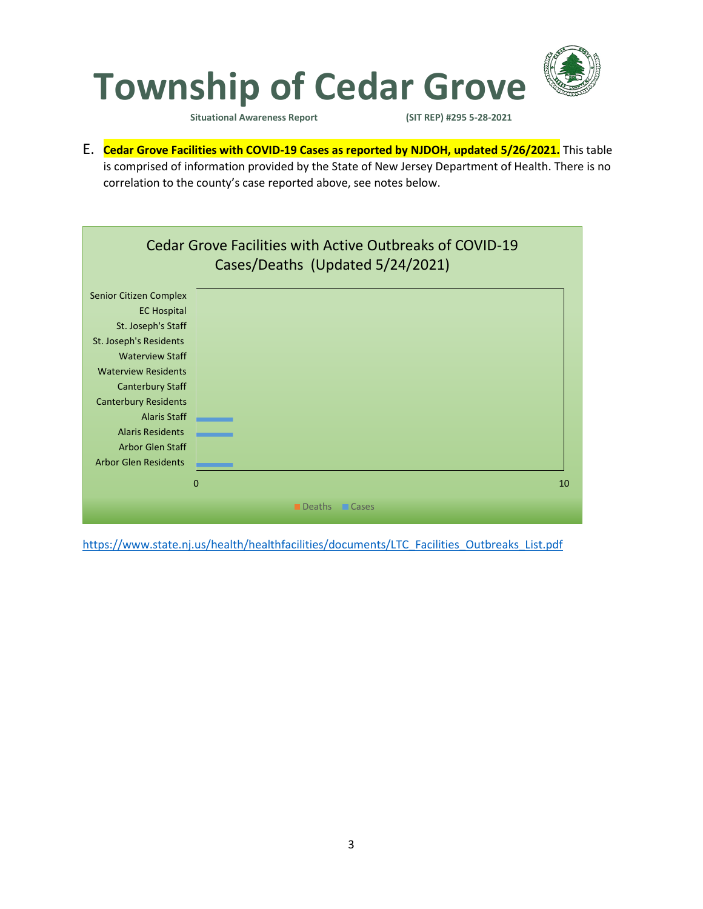

**Situational Awareness Report (SIT REP) #295 5-28-2021** 

E. **Cedar Grove Facilities with COVID-19 Cases as reported by NJDOH, updated 5/26/2021.** This table is comprised of information provided by the State of New Jersey Department of Health. There is no correlation to the county's case reported above, see notes below.



[https://www.state.nj.us/health/healthfacilities/documents/LTC\\_Facilities\\_Outbreaks\\_List.pdf](https://www.state.nj.us/health/healthfacilities/documents/LTC_Facilities_Outbreaks_List.pdf)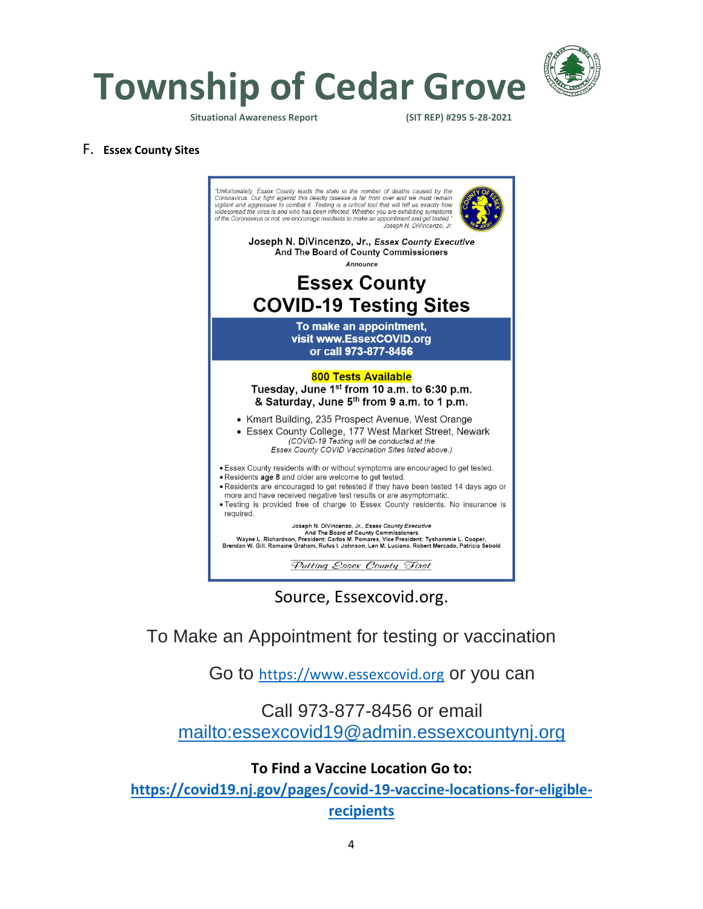

**Township of Cedar Grove**

**Situational Awareness Report (SIT REP) #295 5-28-2021** 

#### F. **Essex County Sites**



Source, Essexcovid.org.

To Make an Appointment for testing or vaccination

Go to [https://www.essexcovid.org](https://www.essexcovid.org/) or you can

## Call 973-877-8456 or email <mailto:essexcovid19@admin.essexcountynj.org>

### **To Find a Vaccine Location Go to:**

**[https://covid19.nj.gov/pages/covid-19-vaccine-locations-for-eligible](https://covid19.nj.gov/pages/covid-19-vaccine-locations-for-eligible-recipients)[recipients](https://covid19.nj.gov/pages/covid-19-vaccine-locations-for-eligible-recipients)**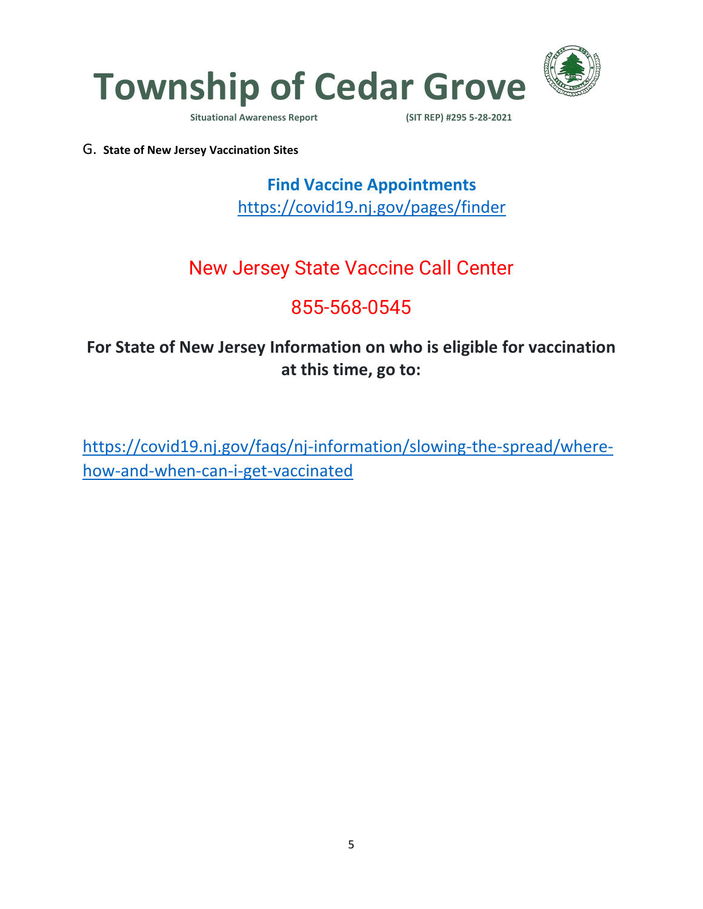

**Situational Awareness Report** 

G. **State of New Jersey Vaccination Sites**

**Find Vaccine Appointments**  <https://covid19.nj.gov/pages/finder>

# New Jersey State Vaccine Call Center

# 855-568-0545

# **For State of New Jersey Information on who is eligible for vaccination at this time, go to:**

[https://covid19.nj.gov/faqs/nj-information/slowing-the-spread/where](https://covid19.nj.gov/faqs/nj-information/slowing-the-spread/where-how-and-when-can-i-get-vaccinated)[how-and-when-can-i-get-vaccinated](https://covid19.nj.gov/faqs/nj-information/slowing-the-spread/where-how-and-when-can-i-get-vaccinated)